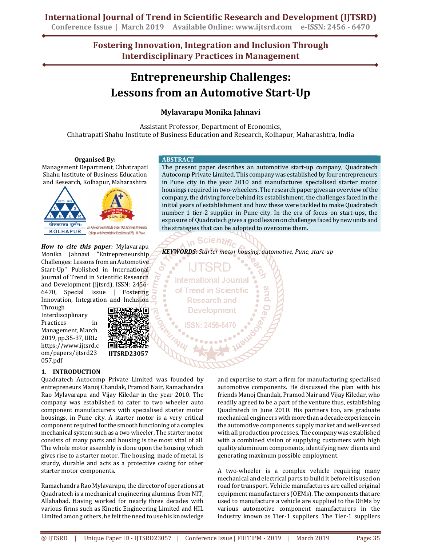## **Conference Issue | March 2019 Available Online: www.ijtsrd.com e-ISSN: 2456 - 6470**

**International Journal of Trend in Scientific Research and Development (IJTSRD)**

**Fostering Innovation, Integration and Inclusion Through Interdisciplinary Practices in Management**

# **Entrepreneurship Challenges: Lessons from an Automotive Start-Up**

## **Mylavarapu Monika Jahnavi**

Assistant Professor, Department of Economics, Chhatrapati Shahu Institute of Business Education and Research, Kolhapur, Maharashtra, India

**Organised By:**  Management Department, Chhatrapati Shahu Institute of Business Education and Research, Kolhapur, Maharashtra



*How to cite this paper:* Mylavarapu Monika Jahnavi "Entrepreneurship Challenges: Lessons from an Automotive Start-Up" Published in International Journal of Trend in Scientific Research and Development (ijtsrd), ISSN: 2456- 6470, Special Issue | Fostering Innovation, Integration and Inclusion

Through Interdisciplinary Practices in Management, March 2019, pp.35-37, URL: https://www.ijtsrd.c om/papers/ijtsrd23 057.pdf



Quadratech Autocomp Private Limited was founded by entrepreneurs Manoj Chandak, Pramod Nair, Ramachandra Rao Mylavarapu and Vijay Kiledar in the year 2010. The company was established to cater to two wheeler auto component manufacturers with specialised starter motor housings, in Pune city. A starter motor is a very critical component required for the smooth functioning of a complex mechanical system such as a two wheeler. The starter motor consists of many parts and housing is the most vital of all. The whole motor assembly is done upon the housing which gives rise to a starter motor. The housing, made of metal, is sturdy, durable and acts as a protective casing for other starter motor components.

**IJTSRD23057**

Ramachandra Rao Mylavarapu, the director of operations at Quadratech is a mechanical engineering alumnus from NIT, Allahabad. Having worked for nearly three decades with various firms such as Kinetic Engineering Limited and HIL Limited among others, he felt the need to use his knowledge

**ABSTRACT** 

The present paper describes an automotive start-up company, Quadratech Autocomp Private Limited. This company was established by four entrepreneurs in Pune city in the year 2010 and manufactures specialised starter motor housings required in two-wheelers. The research paper gives an overview of the company, the driving force behind its establishment, the challenges faced in the initial years of establishment and how these were tackled to make Quadratech number 1 tier-2 supplier in Pune city. In the era of focus on start-ups, the exposure of Quadratech gives a good lesson on challenges faced by new units and the strategies that can be adopted to overcome them.

*KEYWORDS: Starter motor housing, automotive, Pune, start-up*



and expertise to start a firm for manufacturing specialised automotive components. He discussed the plan with his friends Manoj Chandak, Pramod Nair and Vijay Kiledar, who readily agreed to be a part of the venture thus, establishing Quadratech in June 2010. His partners too, are graduate mechanical engineers with more than a decade experience in the automotive components supply market and well-versed with all production processes. The company was established with a combined vision of supplying customers with high quality aluminium components, identifying new clients and generating maximum possible employment.

A two-wheeler is a complex vehicle requiring many mechanical and electrical parts to build it before it is used on road for transport. Vehicle manufactures are called original equipment manufacturers (OEMs). The components that are used to manufacture a vehicle are supplied to the OEMs by various automotive component manufacturers in the industry known as Tier-1 suppliers. The Tier-1 suppliers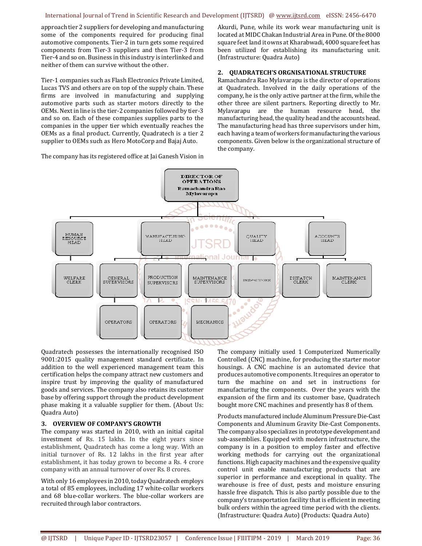#### International Journal of Trend in Scientific Research and Development (IJTSRD) @ www.ijtsrd.com eISSN: 2456-6470

approach tier 2 suppliers for developing and manufacturing some of the components required for producing final automotive components. Tier-2 in turn gets some required components from Tier-3 suppliers and then Tier-3 from Tier-4 and so on. Business in this industry is interlinked and neither of them can survive without the other.

Tier-1 companies such as Flash Electronics Private Limited, Lucas TVS and others are on top of the supply chain. These firms are involved in manufacturing and supplying automotive parts such as starter motors directly to the OEMs. Next in line is the tier-2 companies followed by tier-3 and so on. Each of these companies supplies parts to the companies in the upper tier which eventually reaches the OEMs as a final product. Currently, Quadratech is a tier 2 supplier to OEMs such as Hero MotoCorp and Bajaj Auto.

The company has its registered office at Jai Ganesh Vision in

Akurdi, Pune, while its work wear manufacturing unit is located at MIDC Chakan Industrial Area in Pune. Of the 8000 square feet land it owns at Kharabwadi, 4000 square feet has been utilized for establishing its manufacturing unit. (Infrastructure: Quadra Auto)

#### **2. QUADRATECH'S ORGNISATIONAL STRUCTURE**

Ramachandra Rao Mylavarapu is the director of operations at Quadratech. Involved in the daily operations of the company, he is the only active partner at the firm, while the other three are silent partners. Reporting directly to Mr. Mylavarapu are the human resource head, the manufacturing head, the quality head and the accounts head. The manufacturing head has three supervisors under him, each having a team of workers for manufacturing the various components. Given below is the organizational structure of the company.



Quadratech possesses the internationally recognised ISO 9001:2015 quality management standard certificate. In addition to the well experienced management team this certification helps the company attract new customers and inspire trust by improving the quality of manufactured goods and services. The company also retains its customer base by offering support through the product development phase making it a valuable supplier for them. (About Us: Quadra Auto)

#### **3. OVERVIEW OF COMPANY'S GROWTH**

The company was started in 2010, with an initial capital investment of Rs. 15 lakhs. In the eight years since establishment, Quadratech has come a long way. With an initial turnover of Rs. 12 lakhs in the first year after establishment, it has today grown to become a Rs. 4 crore company with an annual turnover of over Rs. 8 crores.

With only 16 employees in 2010, today Quadratech employs a total of 85 employees, including 17 white-collar workers and 68 blue-collar workers. The blue-collar workers are recruited through labor contractors.

The company initially used 1 Computerized Numerically Controlled (CNC) machine, for producing the starter motor housings. A CNC machine is an automated device that produces automotive components. It requires an operator to turn the machine on and set in instructions for manufacturing the components. Over the years with the expansion of the firm and its customer base, Quadratech bought more CNC machines and presently has 8 of them.

Products manufactured include Aluminum Pressure Die-Cast Components and Aluminum Gravity Die-Cast Components. The company also specializes in prototype development and sub-assemblies. Equipped with modern infrastructure, the company is in a position to employ faster and effective working methods for carrying out the organizational functions. High capacity machines and the expensive quality control unit enable manufacturing products that are superior in performance and exceptional in quality. The warehouse is free of dust, pests and moisture ensuring hassle free dispatch. This is also partly possible due to the company's transportation facility that is efficient in meeting bulk orders within the agreed time period with the clients. (Infrastructure: Quadra Auto) (Products: Quadra Auto)